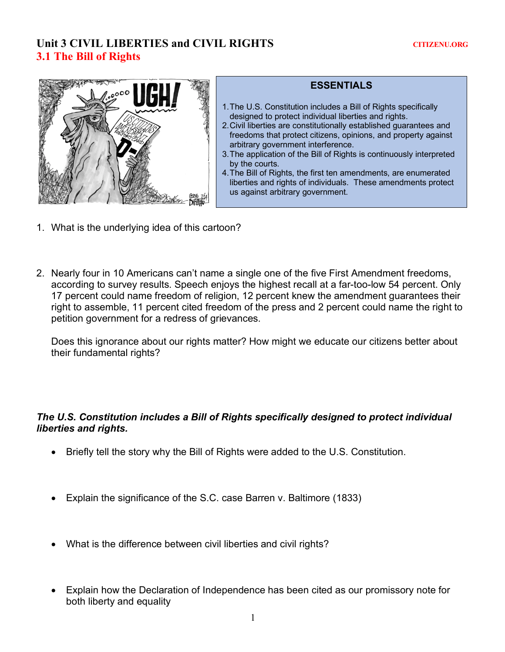# Unit 3 CIVIL LIBERTIES and CIVIL RIGHTS **CITIZENU.ORG 3.1 The Bill of Rights**



### **ESSENTIALS**

- 1.The U.S. Constitution includes a Bill of Rights specifically designed to protect individual liberties and rights.
- 2.Civil liberties are constitutionally established guarantees and freedoms that protect citizens, opinions, and property against arbitrary government interference.
- 3.The application of the Bill of Rights is continuously interpreted by the courts.
- 4.The Bill of Rights, the first ten amendments, are enumerated liberties and rights of individuals. These amendments protect us against arbitrary government.
- 1. What is the underlying idea of this cartoon?
- 2. Nearly four in 10 Americans can't name a single one of the five First Amendment freedoms, according to survey results. Speech enjoys the highest recall at a far-too-low 54 percent. Only 17 percent could name freedom of religion, 12 percent knew the amendment guarantees their right to assemble, 11 percent cited freedom of the press and 2 percent could name the right to petition government for a redress of grievances.

Does this ignorance about our rights matter? How might we educate our citizens better about their fundamental rights?

### *The U.S. Constitution includes a Bill of Rights specifically designed to protect individual liberties and rights.*

- Briefly tell the story why the Bill of Rights were added to the U.S. Constitution.
- Explain the significance of the S.C. case Barren v. Baltimore (1833)
- What is the difference between civil liberties and civil rights?
- Explain how the Declaration of Independence has been cited as our promissory note for both liberty and equality